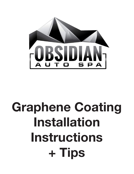

# **Graphene Coating Installation Instructions + Tips**